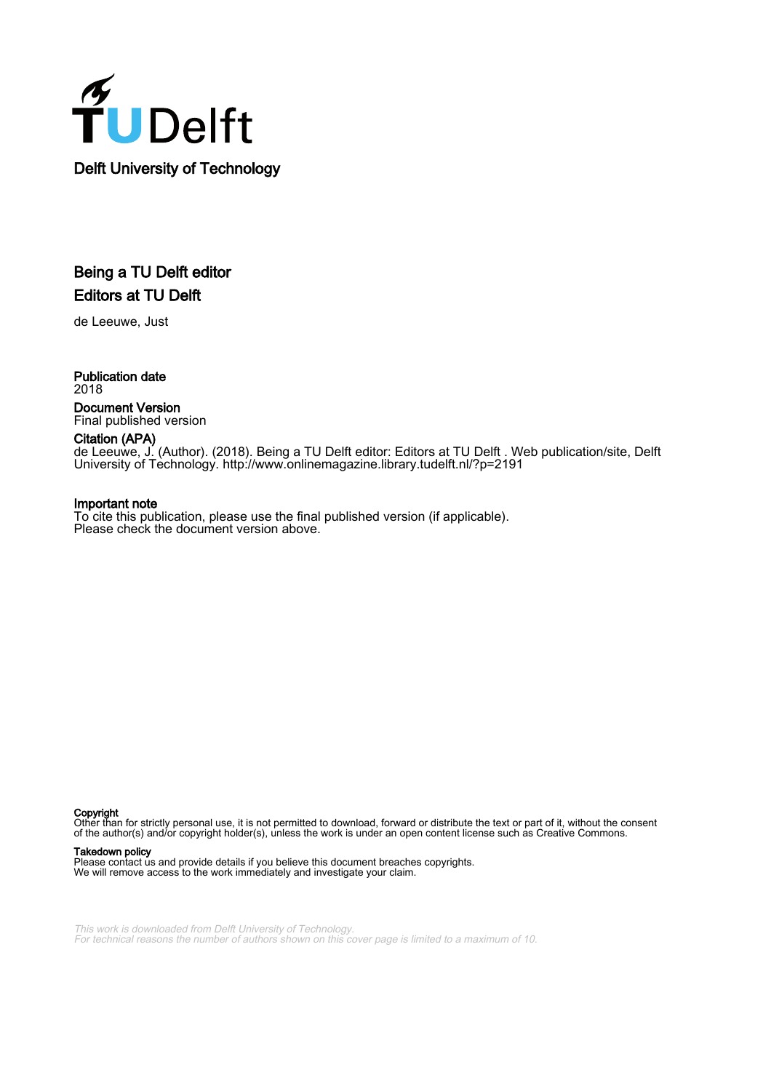

## Being a TU Delft editor Editors at TU Delft

de Leeuwe, Just

Publication date 2018 Document Version Final published version

#### Citation (APA)

de Leeuwe, J. (Author). (2018). Being a TU Delft editor: Editors at TU Delft . Web publication/site, Delft University of Technology. <http://www.onlinemagazine.library.tudelft.nl/?p=2191>

#### Important note

To cite this publication, please use the final published version (if applicable). Please check the document version above.

Copyright

Other than for strictly personal use, it is not permitted to download, forward or distribute the text or part of it, without the consent of the author(s) and/or copyright holder(s), unless the work is under an open content license such as Creative Commons.

#### Takedown policy

Please contact us and provide details if you believe this document breaches copyrights. We will remove access to the work immediately and investigate your claim.

This work is downloaded from Delft University of Technology. For technical reasons the number of authors shown on this cover page is limited to a maximum of 10.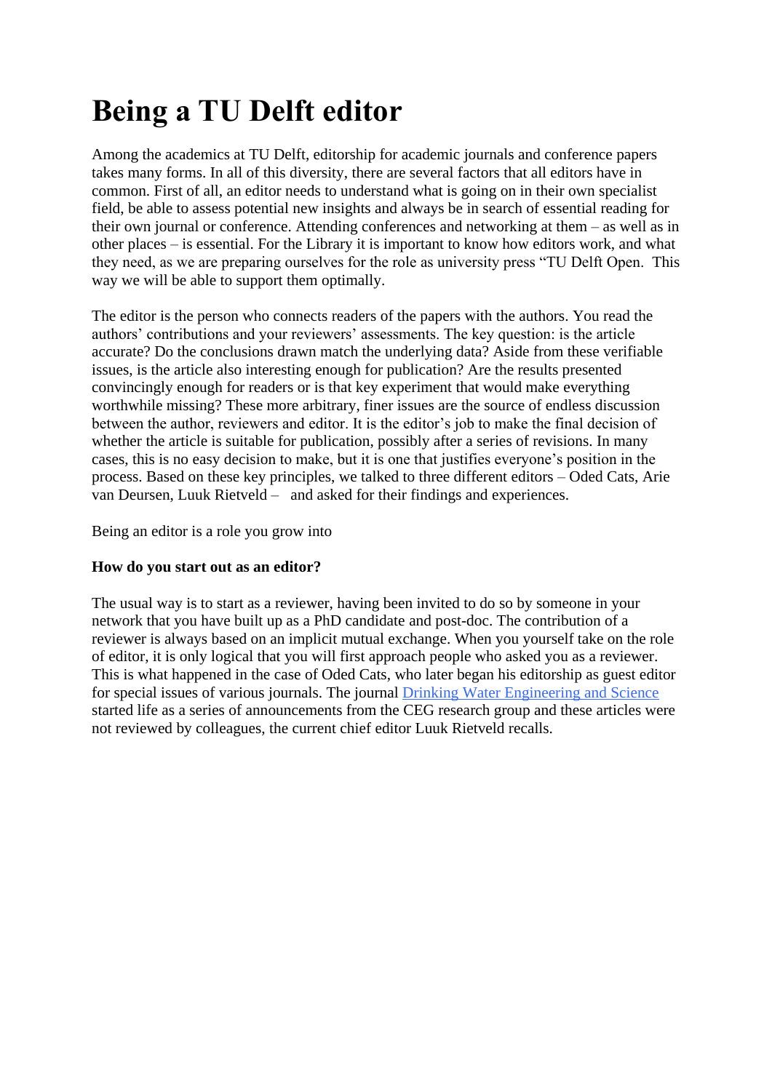# **Being a TU Delft editor**

Among the academics at TU Delft, editorship for academic journals and conference papers takes many forms. In all of this diversity, there are several factors that all editors have in common. First of all, an editor needs to understand what is going on in their own specialist field, be able to assess potential new insights and always be in search of essential reading for their own journal or conference. Attending conferences and networking at them – as well as in other places – is essential. For the Library it is important to know how editors work, and what they need, as we are preparing ourselves for the role as university press "TU Delft Open. This way we will be able to support them optimally.

The editor is the person who connects readers of the papers with the authors. You read the authors' contributions and your reviewers' assessments. The key question: is the article accurate? Do the conclusions drawn match the underlying data? Aside from these verifiable issues, is the article also interesting enough for publication? Are the results presented convincingly enough for readers or is that key experiment that would make everything worthwhile missing? These more arbitrary, finer issues are the source of endless discussion between the author, reviewers and editor. It is the editor's job to make the final decision of whether the article is suitable for publication, possibly after a series of revisions. In many cases, this is no easy decision to make, but it is one that justifies everyone's position in the process. Based on these key principles, we talked to three different editors – Oded Cats, Arie van Deursen, Luuk Rietveld – and asked for their findings and experiences.

Being an editor is a role you grow into

#### **How do you start out as an editor?**

The usual way is to start as a reviewer, having been invited to do so by someone in your network that you have built up as a PhD candidate and post-doc. The contribution of a reviewer is always based on an implicit mutual exchange. When you yourself take on the role of editor, it is only logical that you will first approach people who asked you as a reviewer. This is what happened in the case of Oded Cats, who later began his editorship as guest editor for special issues of various journals. The journal [Drinking Water Engineering and Science](https://www.drinking-water-engineering-and-science.net/) started life as a series of announcements from the CEG research group and these articles were not reviewed by colleagues, the current chief editor Luuk Rietveld recalls.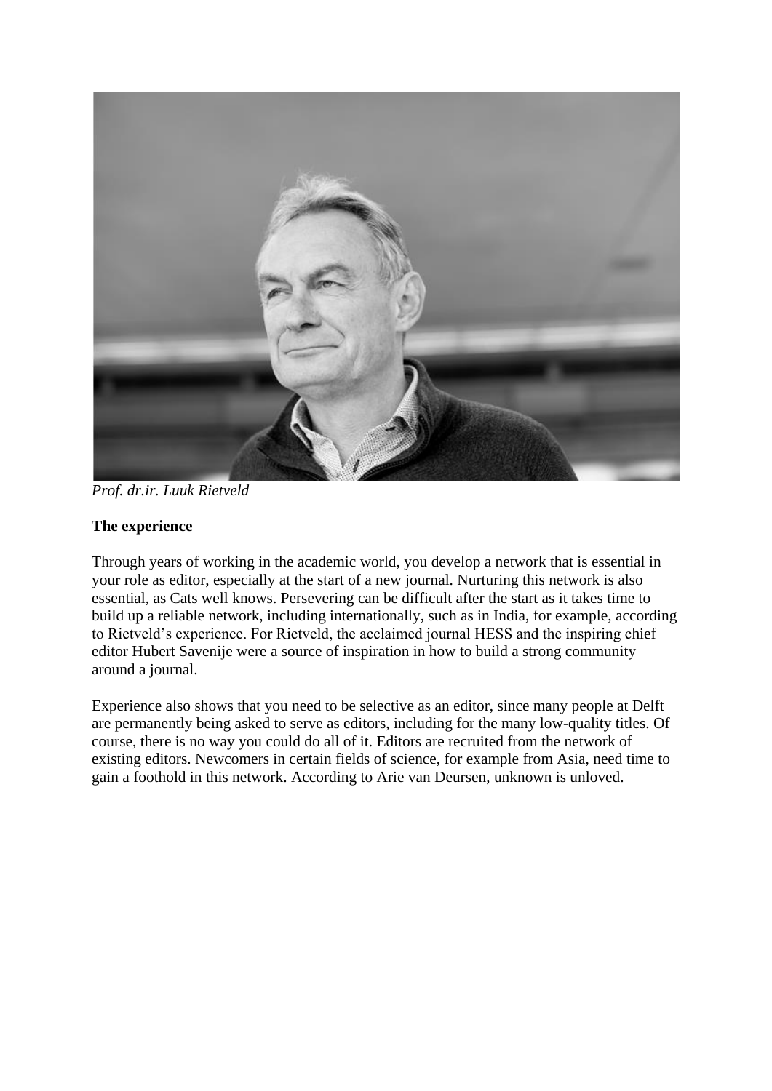

*Prof. dr.ir. Luuk Rietveld*

## **The experience**

Through years of working in the academic world, you develop a network that is essential in your role as editor, especially at the start of a new journal. Nurturing this network is also essential, as Cats well knows. Persevering can be difficult after the start as it takes time to build up a reliable network, including internationally, such as in India, for example, according to Rietveld's experience. For Rietveld, the acclaimed journal HESS and the inspiring chief editor Hubert Savenije were a source of inspiration in how to build a strong community around a journal.

Experience also shows that you need to be selective as an editor, since many people at Delft are permanently being asked to serve as editors, including for the many low-quality titles. Of course, there is no way you could do all of it. Editors are recruited from the network of existing editors. Newcomers in certain fields of science, for example from Asia, need time to gain a foothold in this network. According to Arie van Deursen, unknown is unloved.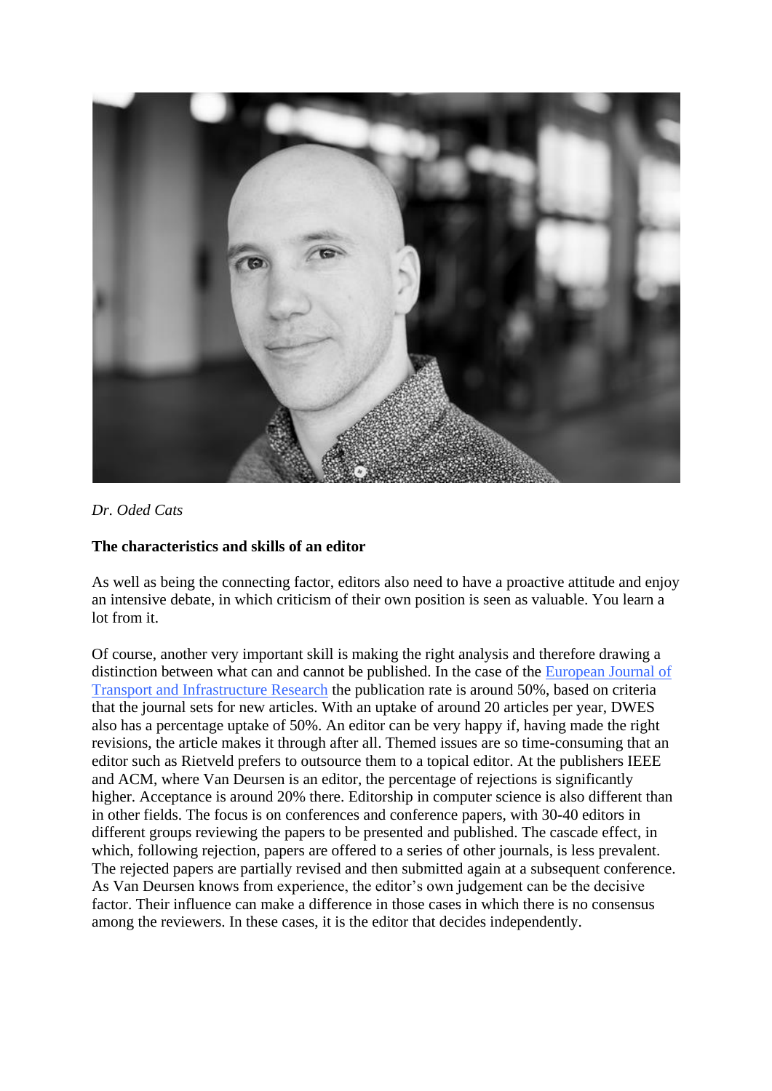

## *Dr. Oded Cats*

#### **The characteristics and skills of an editor**

As well as being the connecting factor, editors also need to have a proactive attitude and enjoy an intensive debate, in which criticism of their own position is seen as valuable. You learn a lot from it.

Of course, another very important skill is making the right analysis and therefore drawing a distinction between what can and cannot be published. In the case of the [European Journal of](https://www.tudelft.nl/tbm/over-de-faculteit/afdelingen/engineering-systems-and-services/research/ejtir/)  [Transport and Infrastructure Research](https://www.tudelft.nl/tbm/over-de-faculteit/afdelingen/engineering-systems-and-services/research/ejtir/) the publication rate is around 50%, based on criteria that the journal sets for new articles. With an uptake of around 20 articles per year, DWES also has a percentage uptake of 50%. An editor can be very happy if, having made the right revisions, the article makes it through after all. Themed issues are so time-consuming that an editor such as Rietveld prefers to outsource them to a topical editor. At the publishers IEEE and ACM, where Van Deursen is an editor, the percentage of rejections is significantly higher. Acceptance is around 20% there. Editorship in computer science is also different than in other fields. The focus is on conferences and conference papers, with 30-40 editors in different groups reviewing the papers to be presented and published. The cascade effect, in which, following rejection, papers are offered to a series of other journals, is less prevalent. The rejected papers are partially revised and then submitted again at a subsequent conference. As Van Deursen knows from experience, the editor's own judgement can be the decisive factor. Their influence can make a difference in those cases in which there is no consensus among the reviewers. In these cases, it is the editor that decides independently.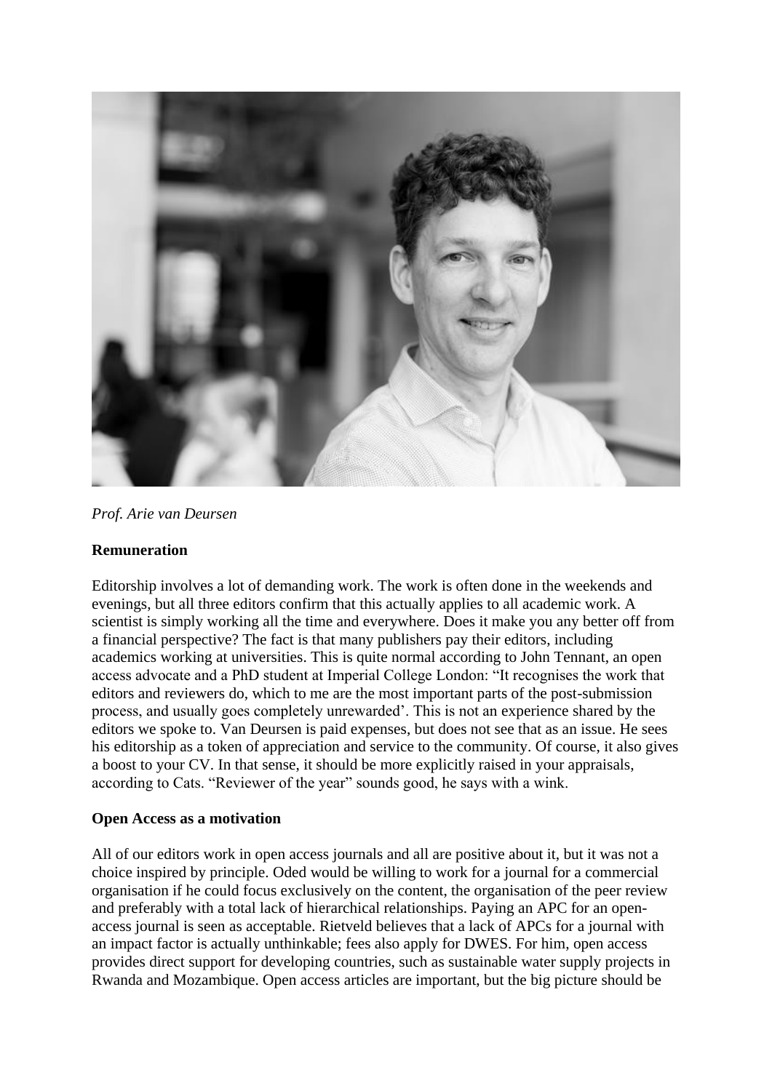

#### *Prof. Arie van Deursen*

#### **Remuneration**

Editorship involves a lot of demanding work. The work is often done in the weekends and evenings, but all three editors confirm that this actually applies to all academic work. A scientist is simply working all the time and everywhere. Does it make you any better off from a financial perspective? The fact is that many publishers pay their editors, including academics working at universities. This is quite normal according to John Tennant, an open access advocate and a PhD student at Imperial College London: "It recognises the work that editors and reviewers do, which to me are the most important parts of the post-submission process, and usually goes completely unrewarded'. This is not an experience shared by the editors we spoke to. Van Deursen is paid expenses, but does not see that as an issue. He sees his editorship as a token of appreciation and service to the community. Of course, it also gives a boost to your CV. In that sense, it should be more explicitly raised in your appraisals, according to Cats. "Reviewer of the year" sounds good, he says with a wink.

#### **Open Access as a motivation**

All of our editors work in open access journals and all are positive about it, but it was not a choice inspired by principle. Oded would be willing to work for a journal for a commercial organisation if he could focus exclusively on the content, the organisation of the peer review and preferably with a total lack of hierarchical relationships. Paying an APC for an openaccess journal is seen as acceptable. Rietveld believes that a lack of APCs for a journal with an impact factor is actually unthinkable; fees also apply for DWES. For him, open access provides direct support for developing countries, such as sustainable water supply projects in Rwanda and Mozambique. Open access articles are important, but the big picture should be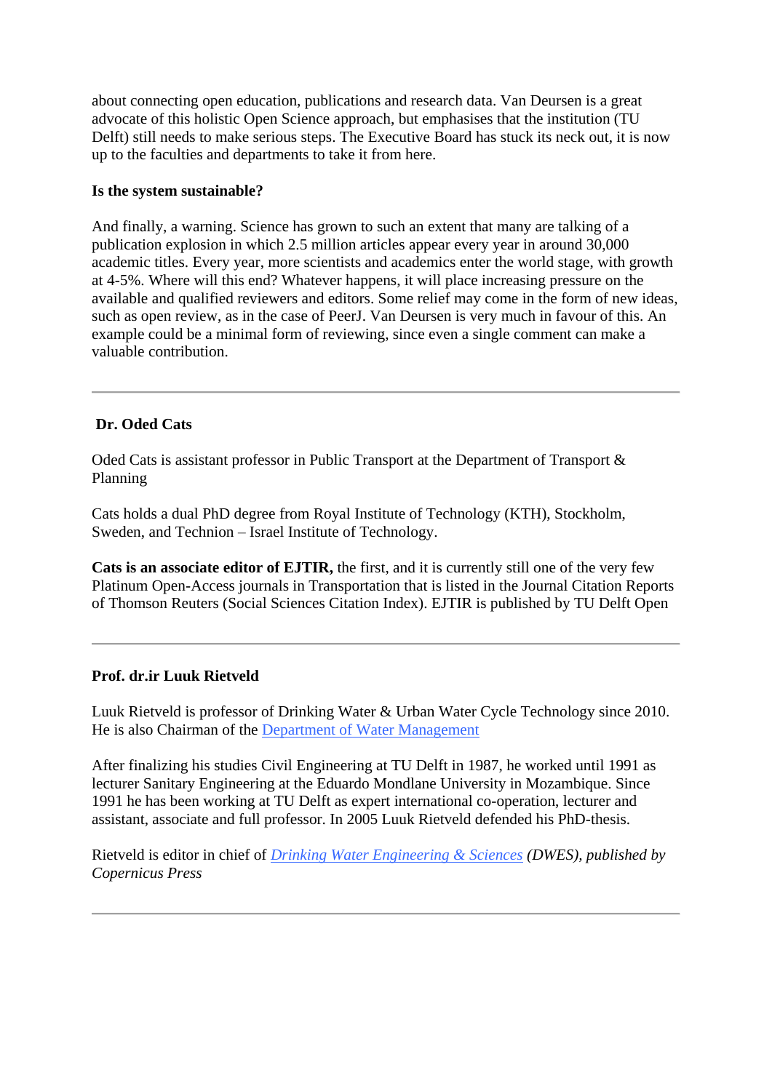about connecting open education, publications and research data. Van Deursen is a great advocate of this holistic Open Science approach, but emphasises that the institution (TU Delft) still needs to make serious steps. The Executive Board has stuck its neck out, it is now up to the faculties and departments to take it from here.

#### **Is the system sustainable?**

And finally, a warning. Science has grown to such an extent that many are talking of a publication explosion in which 2.5 million articles appear every year in around 30,000 academic titles. Every year, more scientists and academics enter the world stage, with growth at 4-5%. Where will this end? Whatever happens, it will place increasing pressure on the available and qualified reviewers and editors. Some relief may come in the form of new ideas, such as open review, as in the case of PeerJ. Van Deursen is very much in favour of this. An example could be a minimal form of reviewing, since even a single comment can make a valuable contribution.

#### **Dr. Oded Cats**

Oded Cats is assistant professor in Public Transport at the Department of Transport & Planning

Cats holds a dual PhD degree from Royal Institute of Technology (KTH), Stockholm, Sweden, and Technion – Israel Institute of Technology.

**Cats is an associate editor of EJTIR,** the first, and it is currently still one of the very few Platinum Open-Access journals in Transportation that is listed in the Journal Citation Reports of Thomson Reuters (Social Sciences Citation Index). EJTIR is published by TU Delft Open

#### **Prof. dr.ir Luuk Rietveld**

Luuk Rietveld is professor of Drinking Water & Urban Water Cycle Technology since 2010. He is also Chairman of the [Department of Water Management](https://www.tudelft.nl/en/ceg/about-faculty/departments/watermanagement/)

After finalizing his studies Civil Engineering at TU Delft in 1987, he worked until 1991 as lecturer Sanitary Engineering at the Eduardo Mondlane University in Mozambique. Since 1991 he has been working at TU Delft as expert international co-operation, lecturer and assistant, associate and full professor. In 2005 Luuk Rietveld defended his PhD-thesis.

Rietveld is editor in chief of *[Drinking Water Engineering & Sciences](https://www.drinking-water-engineering-and-science.net/) (DWES), published by Copernicus Press*